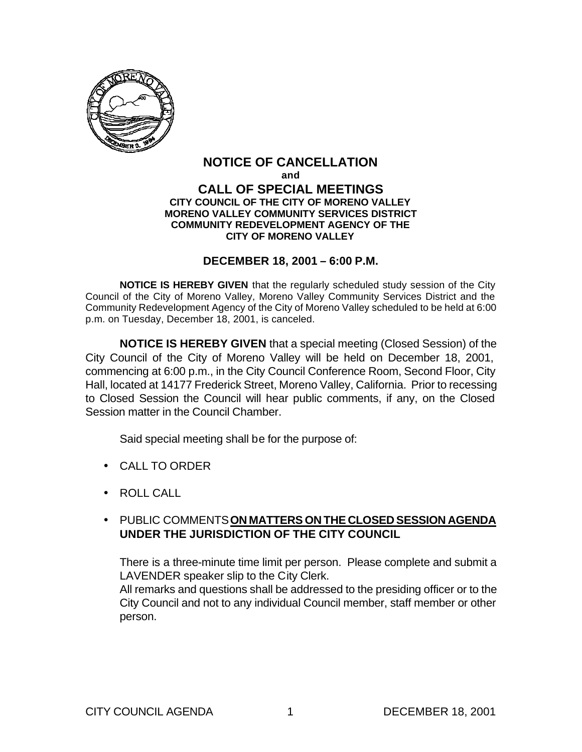

#### **NOTICE OF CANCELLATION and CALL OF SPECIAL MEETINGS CITY COUNCIL OF THE CITY OF MORENO VALLEY MORENO VALLEY COMMUNITY SERVICES DISTRICT COMMUNITY REDEVELOPMENT AGENCY OF THE CITY OF MORENO VALLEY**

#### **DECEMBER 18, 2001 – 6:00 P.M.**

**NOTICE IS HEREBY GIVEN** that the regularly scheduled study session of the City Council of the City of Moreno Valley, Moreno Valley Community Services District and the Community Redevelopment Agency of the City of Moreno Valley scheduled to be held at 6:00 p.m. on Tuesday, December 18, 2001, is canceled.

**NOTICE IS HEREBY GIVEN** that a special meeting (Closed Session) of the City Council of the City of Moreno Valley will be held on December 18, 2001, commencing at 6:00 p.m., in the City Council Conference Room, Second Floor, City Hall, located at 14177 Frederick Street, Moreno Valley, California. Prior to recessing to Closed Session the Council will hear public comments, if any, on the Closed Session matter in the Council Chamber.

Said special meeting shall be for the purpose of:

- CALL TO ORDER
- ROLL CALL

## • PUBLIC COMMENTS **ON MATTERS ON THE CLOSED SESSION AGENDA UNDER THE JURISDICTION OF THE CITY COUNCIL**

There is a three-minute time limit per person. Please complete and submit a LAVENDER speaker slip to the City Clerk.

All remarks and questions shall be addressed to the presiding officer or to the City Council and not to any individual Council member, staff member or other person.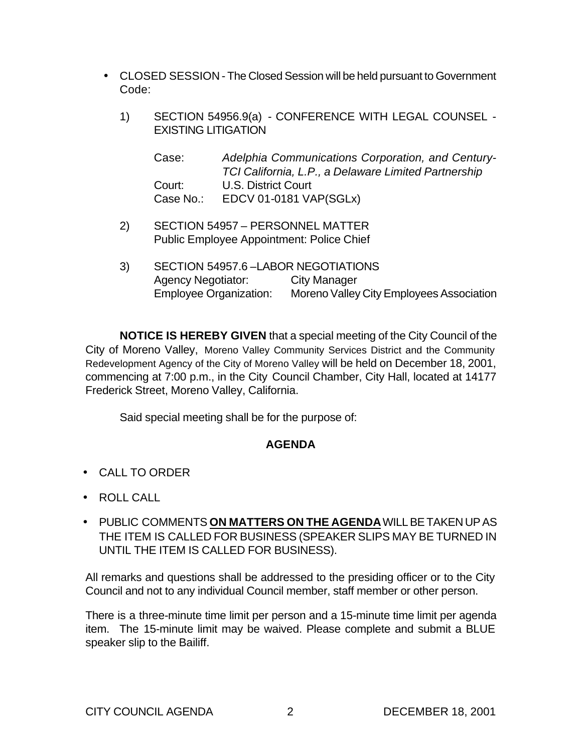- CLOSED SESSION The Closed Session will be held pursuant to Government Code:
	- 1) SECTION 54956.9(a) CONFERENCE WITH LEGAL COUNSEL EXISTING LITIGATION

Case: *Adelphia Communications Corporation, and Century-TCI California, L.P., a Delaware Limited Partnership* Court: U.S. District Court Case No.: EDCV 01-0181 VAP(SGLx)

- 2) SECTION 54957 PERSONNEL MATTER Public Employee Appointment: Police Chief
- 3) SECTION 54957.6 –LABOR NEGOTIATIONS Agency Negotiator: City Manager Employee Organization: Moreno Valley City Employees Association

**NOTICE IS HEREBY GIVEN** that a special meeting of the City Council of the City of Moreno Valley, Moreno Valley Community Services District and the Community Redevelopment Agency of the City of Moreno Valley will be held on December 18, 2001, commencing at 7:00 p.m., in the City Council Chamber, City Hall, located at 14177 Frederick Street, Moreno Valley, California.

Said special meeting shall be for the purpose of:

## **AGENDA**

- CALL TO ORDER
- ROLL CALL
- PUBLIC COMMENTS **ON MATTERS ON THE AGENDA** WILL BE TAKEN UP AS THE ITEM IS CALLED FOR BUSINESS (SPEAKER SLIPS MAY BE TURNED IN UNTIL THE ITEM IS CALLED FOR BUSINESS).

All remarks and questions shall be addressed to the presiding officer or to the City Council and not to any individual Council member, staff member or other person.

There is a three-minute time limit per person and a 15-minute time limit per agenda item. The 15-minute limit may be waived. Please complete and submit a BLUE speaker slip to the Bailiff.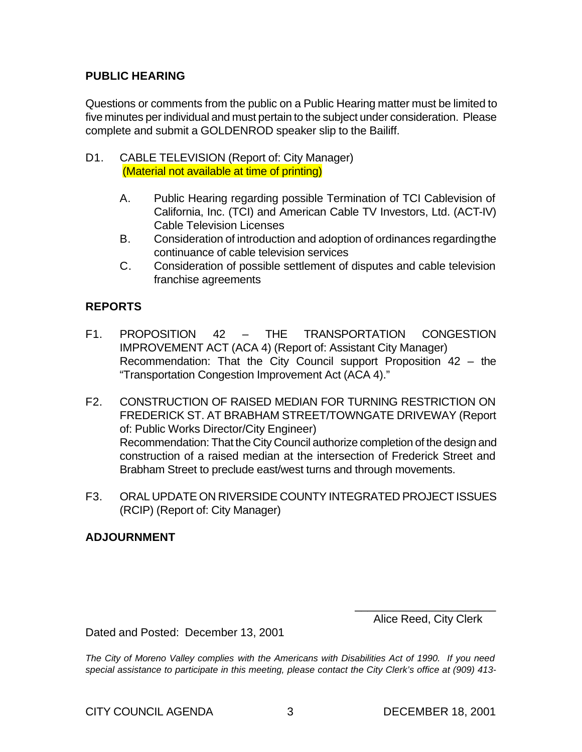## **PUBLIC HEARING**

Questions or comments from the public on a Public Hearing matter must be limited to five minutes per individual and must pertain to the subject under consideration. Please complete and submit a GOLDENROD speaker slip to the Bailiff.

- D1. CABLE TELEVISION (Report of: City Manager) (Material not available at time of printing)
	- A. Public Hearing regarding possible Termination of TCI Cablevision of California, Inc. (TCI) and American Cable TV Investors, Ltd. (ACT-IV) Cable Television Licenses
	- B. Consideration of introduction and adoption of ordinances regarding the continuance of cable television services
	- C. Consideration of possible settlement of disputes and cable television franchise agreements

# **REPORTS**

- F1. PROPOSITION 42 THE TRANSPORTATION CONGESTION IMPROVEMENT ACT (ACA 4) (Report of: Assistant City Manager) Recommendation: That the City Council support Proposition 42 – the "Transportation Congestion Improvement Act (ACA 4)."
- F2. CONSTRUCTION OF RAISED MEDIAN FOR TURNING RESTRICTION ON FREDERICK ST. AT BRABHAM STREET/TOWNGATE DRIVEWAY (Report of: Public Works Director/City Engineer) Recommendation: That the City Council authorize completion of the design and construction of a raised median at the intersection of Frederick Street and Brabham Street to preclude east/west turns and through movements.
- F3. ORAL UPDATE ON RIVERSIDE COUNTY INTEGRATED PROJECT ISSUES (RCIP) (Report of: City Manager)

## **ADJOURNMENT**

\_\_\_\_\_\_\_\_\_\_\_\_\_\_\_\_\_\_\_\_\_\_ Alice Reed, City Clerk

Dated and Posted: December 13, 2001

*The City of Moreno Valley complies with the Americans with Disabilities Act of 1990. If you need special assistance to participate in this meeting, please contact the City Clerk's office at (909) 413-*